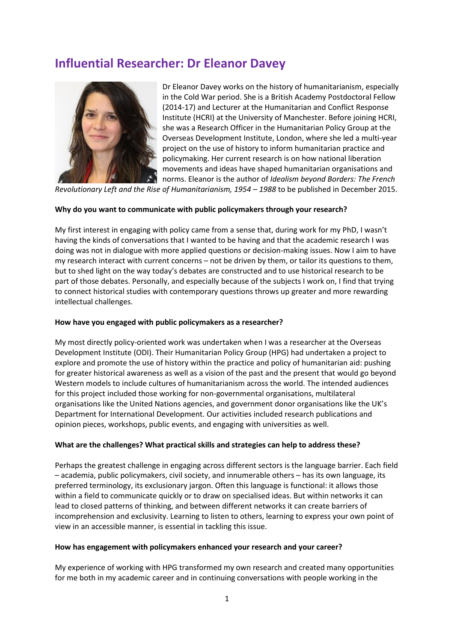# **Influential Researcher: Dr Eleanor Davey**



Dr Eleanor Davey works on the history of humanitarianism, especially in the Cold War period. She is a British Academy Postdoctoral Fellow (2014-17) and Lecturer at the Humanitarian and Conflict Response Institute (HCRI) at the University of Manchester. Before joining HCRI, she was a Research Officer in the Humanitarian Policy Group at the Overseas Development Institute, London, where she led a multi-year project on the use of history to inform humanitarian practice and policymaking. Her current research is on how national liberation movements and ideas have shaped humanitarian organisations and norms. Eleanor is the author of *Idealism beyond Borders: The French* 

*Revolutionary Left and the Rise of Humanitarianism, 1954 – 1988* to be published in December 2015.

## **Why do you want to communicate with public policymakers through your research?**

My first interest in engaging with policy came from a sense that, during work for my PhD, I wasn't having the kinds of conversations that I wanted to be having and that the academic research I was doing was not in dialogue with more applied questions or decision-making issues. Now I aim to have my research interact with current concerns – not be driven by them, or tailor its questions to them, but to shed light on the way today's debates are constructed and to use historical research to be part of those debates. Personally, and especially because of the subjects I work on, I find that trying to connect historical studies with contemporary questions throws up greater and more rewarding intellectual challenges.

## **How have you engaged with public policymakers as a researcher?**

My most directly policy-oriented work was undertaken when I was a researcher at the Overseas Development Institute (ODI). Their Humanitarian Policy Group (HPG) had undertaken a project to explore and promote the use of history within the practice and policy of humanitarian aid: pushing for greater historical awareness as well as a vision of the past and the present that would go beyond Western models to include cultures of humanitarianism across the world. The intended audiences for this project included those working for non-governmental organisations, multilateral organisations like the United Nations agencies, and government donor organisations like the UK's Department for International Development. Our activities included research publications and opinion pieces, workshops, public events, and engaging with universities as well.

### **What are the challenges? What practical skills and strategies can help to address these?**

Perhaps the greatest challenge in engaging across different sectors is the language barrier. Each field – academia, public policymakers, civil society, and innumerable others – has its own language, its preferred terminology, its exclusionary jargon. Often this language is functional: it allows those within a field to communicate quickly or to draw on specialised ideas. But within networks it can lead to closed patterns of thinking, and between different networks it can create barriers of incomprehension and exclusivity. Learning to listen to others, learning to express your own point of view in an accessible manner, is essential in tackling this issue.

### **How has engagement with policymakers enhanced your research and your career?**

My experience of working with HPG transformed my own research and created many opportunities for me both in my academic career and in continuing conversations with people working in the